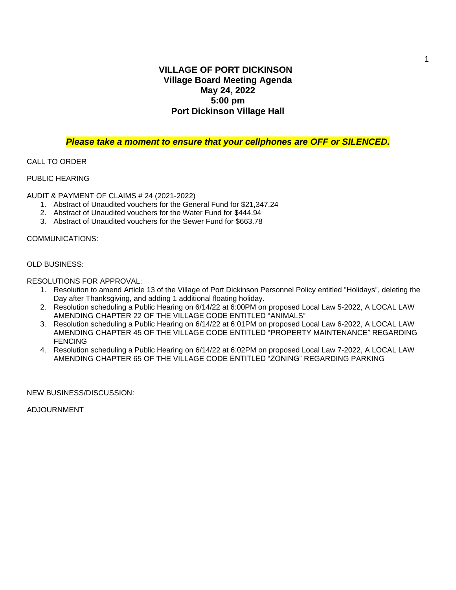### **VILLAGE OF PORT DICKINSON Village Board Meeting Agenda May 24, 2022 5:00 pm Port Dickinson Village Hall**

#### *Please take a moment to ensure that your cellphones are OFF or SILENCED.*

#### CALL TO ORDER

#### PUBLIC HEARING

AUDIT & PAYMENT OF CLAIMS # 24 (2021-2022)

- 1. Abstract of Unaudited vouchers for the General Fund for \$21,347.24
- 2. Abstract of Unaudited vouchers for the Water Fund for \$444.94
- 3. Abstract of Unaudited vouchers for the Sewer Fund for \$663.78

#### COMMUNICATIONS:

#### OLD BUSINESS:

RESOLUTIONS FOR APPROVAL:

- 1. Resolution to amend Article 13 of the Village of Port Dickinson Personnel Policy entitled "Holidays", deleting the Day after Thanksgiving, and adding 1 additional floating holiday.
- 2. Resolution scheduling a Public Hearing on 6/14/22 at 6:00PM on proposed Local Law 5-2022, A LOCAL LAW AMENDING CHAPTER 22 OF THE VILLAGE CODE ENTITLED "ANIMALS"
- 3. Resolution scheduling a Public Hearing on 6/14/22 at 6:01PM on proposed Local Law 6-2022, A LOCAL LAW AMENDING CHAPTER 45 OF THE VILLAGE CODE ENTITLED "PROPERTY MAINTENANCE" REGARDING FENCING
- 4. Resolution scheduling a Public Hearing on 6/14/22 at 6:02PM on proposed Local Law 7-2022, A LOCAL LAW AMENDING CHAPTER 65 OF THE VILLAGE CODE ENTITLED "ZONING" REGARDING PARKING

NEW BUSINESS/DISCUSSION:

ADJOURNMENT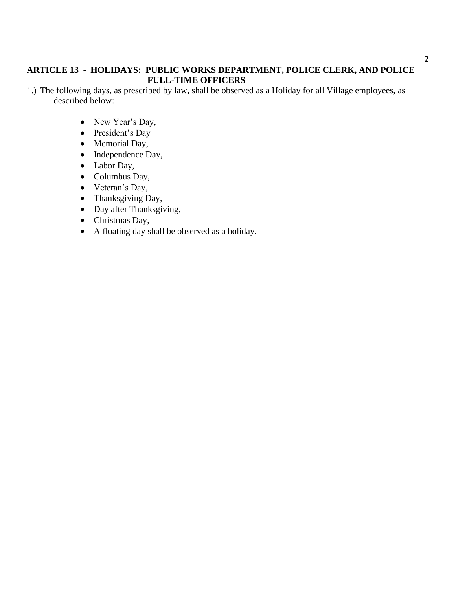# **ARTICLE 13 - HOLIDAYS: PUBLIC WORKS DEPARTMENT, POLICE CLERK, AND POLICE FULL-TIME OFFICERS**

- 1.) The following days, as prescribed by law, shall be observed as a Holiday for all Village employees, as described below:
	- New Year's Day,
	- President's Day
	- Memorial Day,
	- Independence Day,
	- Labor Day,
	- Columbus Day,
	- Veteran's Day,
	- Thanksgiving Day,
	- Day after Thanksgiving,
	- Christmas Day,
	- A floating day shall be observed as a holiday.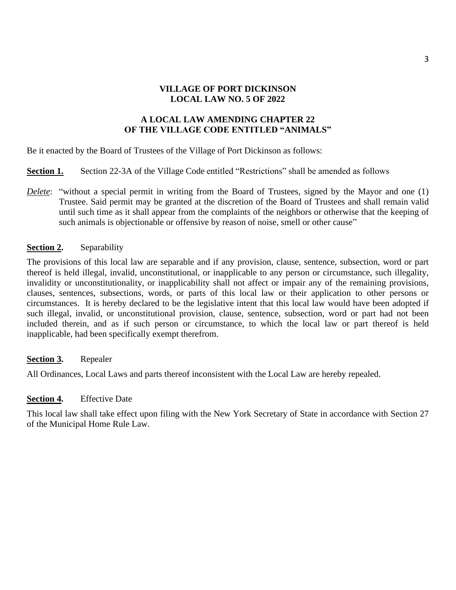## **VILLAGE OF PORT DICKINSON LOCAL LAW NO. 5 OF 2022**

# **A LOCAL LAW AMENDING CHAPTER 22 OF THE VILLAGE CODE ENTITLED "ANIMALS"**

Be it enacted by the Board of Trustees of the Village of Port Dickinson as follows:

**Section 1.** Section 22-3A of the Village Code entitled "Restrictions" shall be amended as follows

*Delete*: "without a special permit in writing from the Board of Trustees, signed by the Mayor and one (1) Trustee. Said permit may be granted at the discretion of the Board of Trustees and shall remain valid until such time as it shall appear from the complaints of the neighbors or otherwise that the keeping of such animals is objectionable or offensive by reason of noise, smell or other cause"

## **Section 2.** Separability

The provisions of this local law are separable and if any provision, clause, sentence, subsection, word or part thereof is held illegal, invalid, unconstitutional, or inapplicable to any person or circumstance, such illegality, invalidity or unconstitutionality, or inapplicability shall not affect or impair any of the remaining provisions, clauses, sentences, subsections, words, or parts of this local law or their application to other persons or circumstances. It is hereby declared to be the legislative intent that this local law would have been adopted if such illegal, invalid, or unconstitutional provision, clause, sentence, subsection, word or part had not been included therein, and as if such person or circumstance, to which the local law or part thereof is held inapplicable, had been specifically exempt therefrom.

#### **Section 3.** Repealer

All Ordinances, Local Laws and parts thereof inconsistent with the Local Law are hereby repealed.

#### **Section 4.** Effective Date

This local law shall take effect upon filing with the New York Secretary of State in accordance with Section 27 of the Municipal Home Rule Law.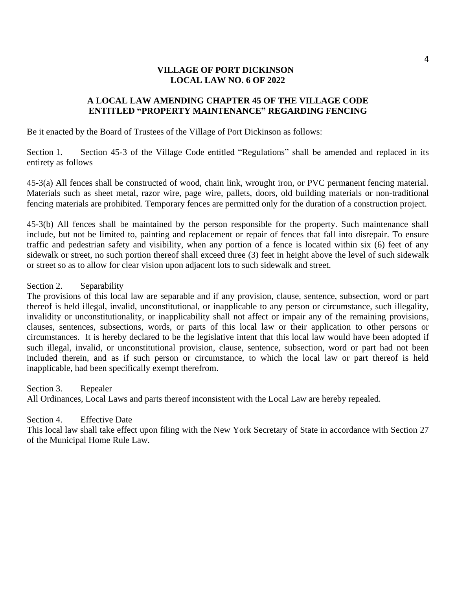## **VILLAGE OF PORT DICKINSON LOCAL LAW NO. 6 OF 2022**

## **A LOCAL LAW AMENDING CHAPTER 45 OF THE VILLAGE CODE ENTITLED "PROPERTY MAINTENANCE" REGARDING FENCING**

Be it enacted by the Board of Trustees of the Village of Port Dickinson as follows:

Section 1. Section 45-3 of the Village Code entitled "Regulations" shall be amended and replaced in its entirety as follows

45-3(a) All fences shall be constructed of wood, chain link, wrought iron, or PVC permanent fencing material. Materials such as sheet metal, razor wire, page wire, pallets, doors, old building materials or non-traditional fencing materials are prohibited. Temporary fences are permitted only for the duration of a construction project.

45-3(b) All fences shall be maintained by the person responsible for the property. Such maintenance shall include, but not be limited to, painting and replacement or repair of fences that fall into disrepair. To ensure traffic and pedestrian safety and visibility, when any portion of a fence is located within six (6) feet of any sidewalk or street, no such portion thereof shall exceed three (3) feet in height above the level of such sidewalk or street so as to allow for clear vision upon adjacent lots to such sidewalk and street.

Section 2. Separability

The provisions of this local law are separable and if any provision, clause, sentence, subsection, word or part thereof is held illegal, invalid, unconstitutional, or inapplicable to any person or circumstance, such illegality, invalidity or unconstitutionality, or inapplicability shall not affect or impair any of the remaining provisions, clauses, sentences, subsections, words, or parts of this local law or their application to other persons or circumstances. It is hereby declared to be the legislative intent that this local law would have been adopted if such illegal, invalid, or unconstitutional provision, clause, sentence, subsection, word or part had not been included therein, and as if such person or circumstance, to which the local law or part thereof is held inapplicable, had been specifically exempt therefrom.

Section 3. Repealer All Ordinances, Local Laws and parts thereof inconsistent with the Local Law are hereby repealed.

#### Section 4. Effective Date

This local law shall take effect upon filing with the New York Secretary of State in accordance with Section 27 of the Municipal Home Rule Law.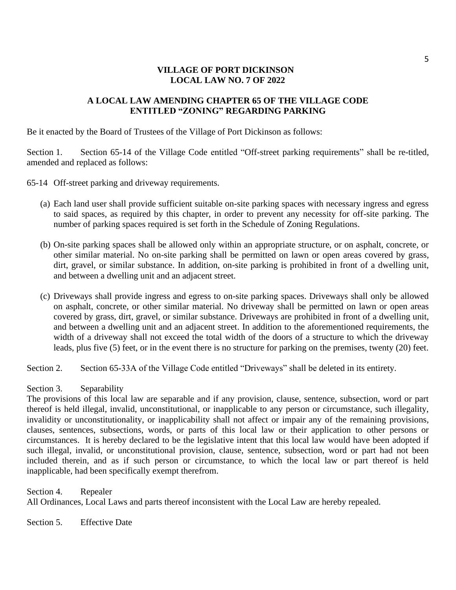## **VILLAGE OF PORT DICKINSON LOCAL LAW NO. 7 OF 2022**

## **A LOCAL LAW AMENDING CHAPTER 65 OF THE VILLAGE CODE ENTITLED "ZONING" REGARDING PARKING**

Be it enacted by the Board of Trustees of the Village of Port Dickinson as follows:

Section 1. Section 65-14 of the Village Code entitled "Off-street parking requirements" shall be re-titled, amended and replaced as follows:

65-14 Off-street parking and driveway requirements.

- (a) Each land user shall provide sufficient suitable on-site parking spaces with necessary ingress and egress to said spaces, as required by this chapter, in order to prevent any necessity for off-site parking. The number of parking spaces required is set forth in the Schedule of Zoning Regulations.
- (b) On-site parking spaces shall be allowed only within an appropriate structure, or on asphalt, concrete, or other similar material. No on-site parking shall be permitted on lawn or open areas covered by grass, dirt, gravel, or similar substance. In addition, on-site parking is prohibited in front of a dwelling unit, and between a dwelling unit and an adjacent street.
- (c) Driveways shall provide ingress and egress to on-site parking spaces. Driveways shall only be allowed on asphalt, concrete, or other similar material. No driveway shall be permitted on lawn or open areas covered by grass, dirt, gravel, or similar substance. Driveways are prohibited in front of a dwelling unit, and between a dwelling unit and an adjacent street. In addition to the aforementioned requirements, the width of a driveway shall not exceed the total width of the doors of a structure to which the driveway leads, plus five (5) feet, or in the event there is no structure for parking on the premises, twenty (20) feet.

Section 2. Section 65-33A of the Village Code entitled "Driveways" shall be deleted in its entirety.

#### Section 3. Separability

The provisions of this local law are separable and if any provision, clause, sentence, subsection, word or part thereof is held illegal, invalid, unconstitutional, or inapplicable to any person or circumstance, such illegality, invalidity or unconstitutionality, or inapplicability shall not affect or impair any of the remaining provisions, clauses, sentences, subsections, words, or parts of this local law or their application to other persons or circumstances. It is hereby declared to be the legislative intent that this local law would have been adopted if such illegal, invalid, or unconstitutional provision, clause, sentence, subsection, word or part had not been included therein, and as if such person or circumstance, to which the local law or part thereof is held inapplicable, had been specifically exempt therefrom.

Section 4. Repealer All Ordinances, Local Laws and parts thereof inconsistent with the Local Law are hereby repealed.

Section 5. Effective Date